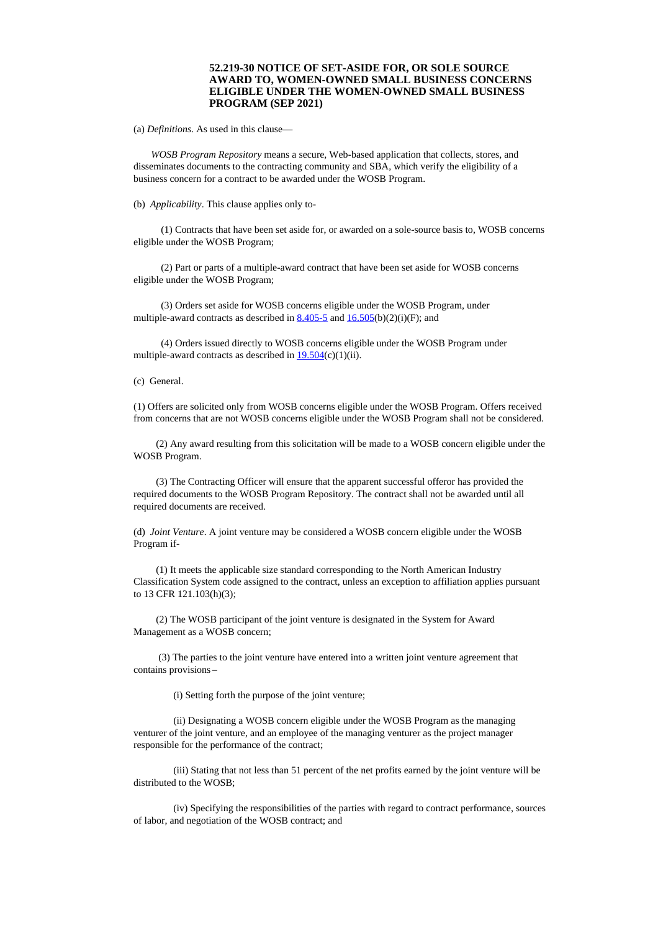## **52.219-30 NOTICE OF SET-ASIDE FOR, OR SOLE SOURCE AWARD TO, WOMEN-OWNED SMALL BUSINESS CONCERNS ELIGIBLE UNDER THE WOMEN-OWNED SMALL BUSINESS PROGRAM (SEP 2021)**

(a) *Definitions.* As used in this clause—

*WOSB Program Repository* means a secure, Web-based application that collects, stores, and disseminates documents to the contracting community and SBA, which verify the eligibility of a business concern for a contract to be awarded under the WOSB Program.

(b) *Applicability*. This clause applies only to-

(1) Contracts that have been set aside for, or awarded on a sole-source basis to, WOSB concerns eligible under the WOSB Program;

(2) Part or parts of a multiple-award contract that have been set aside for WOSB concerns eligible under the WOSB Program;

(3) Orders set aside for WOSB concerns eligible under the WOSB Program, under multiple-award contracts as described in  $8.405-5$  and  $16.505(b)(2)(i)(F)$  $16.505(b)(2)(i)(F)$ ; and

(4) Orders issued directly to WOSB concerns eligible under the WOSB Program under multiple-award contracts as described in  $19.504(c)(1)(ii)$  $19.504(c)(1)(ii)$ .

(c) General.

(1) Offers are solicited only from WOSB concerns eligible under the WOSB Program. Offers received from concerns that are not WOSB concerns eligible under the WOSB Program shall not be considered.

(2) Any award resulting from this solicitation will be made to a WOSB concern eligible under the WOSB Program.

(3) The Contracting Officer will ensure that the apparent successful offeror has provided the required documents to the WOSB Program Repository. The contract shall not be awarded until all required documents are received.

(d) *Joint Venture*. A joint venture may be considered a WOSB concern eligible under the WOSB Program if-

(1) It meets the applicable size standard corresponding to the North American Industry Classification System code assigned to the contract, unless an exception to affiliation applies pursuant to 13 CFR 121.103(h)(3);

(2) The WOSB participant of the joint venture is designated in the System for Award Management as a WOSB concern;

(3) The parties to the joint venture have entered into a written joint venture agreement that contains provisions –

(i) Setting forth the purpose of the joint venture;

(ii) Designating a WOSB concern eligible under the WOSB Program as the managing venturer of the joint venture, and an employee of the managing venturer as the project manager responsible for the performance of the contract;

(iii) Stating that not less than 51 percent of the net profits earned by the joint venture will be distributed to the WOSB;

(iv) Specifying the responsibilities of the parties with regard to contract performance, sources of labor, and negotiation of the WOSB contract; and